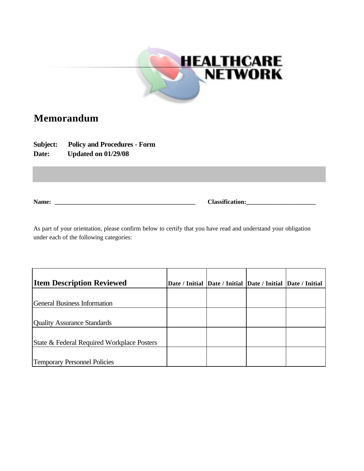

## **Memorandum**

**Subject: Policy and Procedures - Form Date: Updated on 01/29/08**

**Name: \_\_\_\_\_\_\_\_\_\_\_\_\_\_\_\_\_\_\_\_\_\_\_\_\_\_\_\_\_\_\_\_\_\_\_\_\_\_\_\_\_\_\_\_\_ Classification:\_\_\_\_\_\_\_\_\_\_\_\_\_\_\_\_\_\_\_\_\_\_**

As part of your orientation, please confirm below to certify that you have read and understand your obligation under each of the following categories:

| <b>Item Description Reviewed</b>           | Date / Initial Date / Initial Date / Initial Date / Initial |  |
|--------------------------------------------|-------------------------------------------------------------|--|
| <b>General Business Information</b>        |                                                             |  |
| <b>Quality Assurance Standards</b>         |                                                             |  |
| State & Federal Required Workplace Posters |                                                             |  |
| <b>Temporary Personnel Policies</b>        |                                                             |  |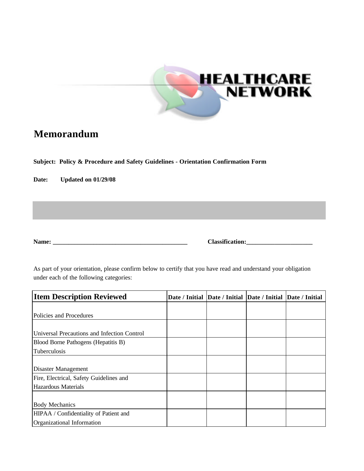

## **Memorandum**

**Subject: Policy & Procedure and Safety Guidelines - Orientation Confirmation Form**

**Date: Updated on 01/29/08**

**Name: \_\_\_\_\_\_\_\_\_\_\_\_\_\_\_\_\_\_\_\_\_\_\_\_\_\_\_\_\_\_\_\_\_\_\_\_\_\_\_\_\_\_\_ Classification:\_\_\_\_\_\_\_\_\_\_\_\_\_\_\_\_\_\_\_\_\_**

As part of your orientation, please confirm below to certify that you have read and understand your obligation under each of the following categories:

| <b>Item Description Reviewed</b>            | Date / Initial Date / Initial Date / Initial Date / Initial |  |  |
|---------------------------------------------|-------------------------------------------------------------|--|--|
|                                             |                                                             |  |  |
| Policies and Procedures                     |                                                             |  |  |
|                                             |                                                             |  |  |
| Universal Precautions and Infection Control |                                                             |  |  |
| Blood Borne Pathogens (Hepatitis B)         |                                                             |  |  |
| Tuberculosis                                |                                                             |  |  |
|                                             |                                                             |  |  |
| Disaster Management                         |                                                             |  |  |
| Fire, Electrical, Safety Guidelines and     |                                                             |  |  |
| <b>Hazardous Materials</b>                  |                                                             |  |  |
|                                             |                                                             |  |  |
| <b>Body Mechanics</b>                       |                                                             |  |  |
| HIPAA / Confidentiality of Patient and      |                                                             |  |  |
| Organizational Information                  |                                                             |  |  |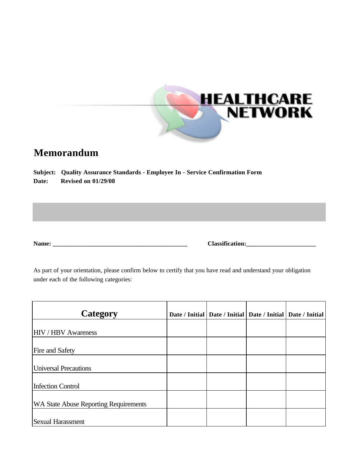

## **Memorandum**

**Subject: Quality Assurance Standards - Employee In - Service Confirmation Form Date: Revised on 01/29/08**

**Name: \_\_\_\_\_\_\_\_\_\_\_\_\_\_\_\_\_\_\_\_\_\_\_\_\_\_\_\_\_\_\_\_\_\_\_\_\_\_\_\_\_\_\_ Classification:\_\_\_\_\_\_\_\_\_\_\_\_\_\_\_\_\_\_\_\_\_\_**

As part of your orientation, please confirm below to certify that you have read and understand your obligation under each of the following categories:

| Category                                     |  | Date / Initial   Date / Initial   Date / Initial   Date / Initial |  |
|----------------------------------------------|--|-------------------------------------------------------------------|--|
| <b>HIV / HBV Awareness</b>                   |  |                                                                   |  |
| <b>Fire and Safety</b>                       |  |                                                                   |  |
| <b>Universal Precautions</b>                 |  |                                                                   |  |
| <b>Infection Control</b>                     |  |                                                                   |  |
| <b>WA State Abuse Reporting Requirements</b> |  |                                                                   |  |
| <b>Sexual Harassment</b>                     |  |                                                                   |  |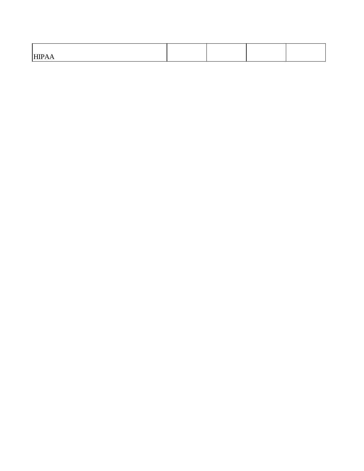| H<br><b>.</b> |  |  |
|---------------|--|--|